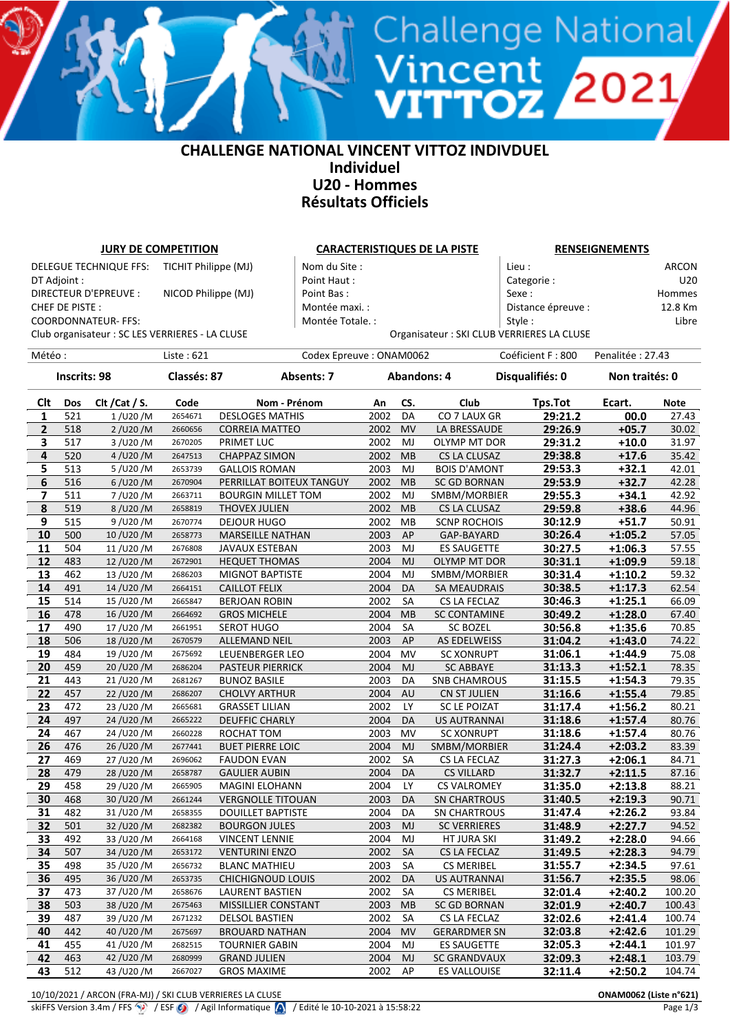#### **CHALLENGE NATIONAL VINCENT VITTOZ INDIVDUEL Individuel U20 - Hommes Résultats Officiels**

Vincent<br>**VITTOZ 2021** 

| <b>JURY DE COMPETITION</b> |                     |                                                 |                      |                           |                         |      | <b>CARACTERISTIQUES DE LA PISTE</b> |                                           | <b>RENSEIGNEMENTS</b>                      |                  |                |  |
|----------------------------|---------------------|-------------------------------------------------|----------------------|---------------------------|-------------------------|------|-------------------------------------|-------------------------------------------|--------------------------------------------|------------------|----------------|--|
|                            |                     | DELEGUE TECHNIQUE FFS:                          | TICHIT Philippe (MJ) |                           | Nom du Site :           |      |                                     |                                           | Lieu :                                     |                  | <b>ARCON</b>   |  |
| DT Adjoint :               |                     |                                                 |                      |                           | Point Haut:             |      |                                     |                                           | Categorie:                                 |                  | U20            |  |
|                            |                     | DIRECTEUR D'EPREUVE :                           | NICOD Philippe (MJ)  |                           | Point Bas:              |      |                                     |                                           | Sexe:                                      |                  | Hommes         |  |
| CHEF DE PISTE :            |                     |                                                 | Montée maxi. :       |                           |                         |      | Distance épreuve :                  |                                           | 12.8 Km                                    |                  |                |  |
|                            |                     | <b>COORDONNATEUR- FFS:</b>                      |                      |                           | Montée Totale. :        |      |                                     |                                           | Style:                                     |                  | Libre          |  |
|                            |                     |                                                 |                      |                           |                         |      |                                     |                                           | Organisateur : SKI CLUB VERRIERES LA CLUSE |                  |                |  |
|                            |                     | Club organisateur : SC LES VERRIERES - LA CLUSE |                      |                           |                         |      |                                     |                                           |                                            |                  |                |  |
| Météo:                     |                     |                                                 | Liste: 621           |                           | Codex Epreuve: ONAM0062 |      |                                     |                                           | Coéficient F: 800                          | Penalitée: 27.43 |                |  |
|                            | <b>Inscrits: 98</b> |                                                 | Classés: 87          |                           | <b>Absents: 7</b>       |      |                                     | <b>Abandons: 4</b>                        | Disqualifiés: 0                            | Non traités: 0   |                |  |
|                            |                     |                                                 |                      |                           |                         |      |                                     |                                           |                                            |                  |                |  |
| Clt                        | Dos                 | Clt / Cat / S.                                  | Code                 | Nom - Prénom              |                         | An   | CS.                                 | Club                                      | <b>Tps.Tot</b>                             | Ecart.           | <b>Note</b>    |  |
| 1                          | 521                 | 1/U20/M                                         | 2654671              | <b>DESLOGES MATHIS</b>    |                         | 2002 | DA                                  | CO 7 LAUX GR                              | 29:21.2                                    | 00.0             | 27.43          |  |
| $\mathbf{2}$               | 518                 | 2 / U20 / M                                     | 2660656              | <b>CORREIA MATTEO</b>     |                         | 2002 | MV                                  | LA BRESSAUDE                              | 29:26.9                                    | $+05.7$          | 30.02          |  |
| 3                          | 517                 | 3 / U20 / M                                     | 2670205              | PRIMET LUC                |                         | 2002 | MJ                                  | OLYMP MT DOR                              | 29:31.2                                    | $+10.0$          | 31.97          |  |
| 4                          | 520                 | 4 / U20 / M                                     | 2647513              | <b>CHAPPAZ SIMON</b>      |                         | 2002 | <b>MB</b>                           | CS LA CLUSAZ                              | 29:38.8                                    | $+17.6$          | 35.42          |  |
| 5                          | 513                 | 5/U20/M                                         | 2653739              | <b>GALLOIS ROMAN</b>      |                         | 2003 | MJ                                  | <b>BOIS D'AMONT</b>                       | 29:53.3                                    | $+32.1$          | 42.01          |  |
| $\bf 6$                    | 516                 | $6/$ U20 /M                                     | 2670904              | PERRILLAT BOITEUX TANGUY  |                         | 2002 | <b>MB</b>                           | <b>SC GD BORNAN</b>                       | 29:53.9                                    | $+32.7$          | 42.28          |  |
| 7                          | 511                 | 7/U20/M                                         | 2663711              | <b>BOURGIN MILLET TOM</b> |                         | 2002 | MJ                                  | SMBM/MORBIER                              | 29:55.3                                    | $+34.1$          | 42.92          |  |
| 8                          | 519                 | 8/U20/M                                         | 2658819              | THOVEX JULIEN             |                         | 2002 | MB                                  | CS LA CLUSAZ                              | 29:59.8                                    | $+38.6$          | 44.96          |  |
| 9                          | 515                 | 9/U20/M                                         | 2670774              | <b>DEJOUR HUGO</b>        |                         | 2002 | MB                                  | <b>SCNP ROCHOIS</b>                       | 30:12.9                                    | $+51.7$          | 50.91          |  |
| 10                         | 500                 | 10/U20/M                                        | 2658773              | <b>MARSEILLE NATHAN</b>   |                         | 2003 | AP                                  | GAP-BAYARD                                | 30:26.4                                    | $+1:05.2$        | 57.05          |  |
| 11                         | 504                 | 11/U20/M                                        | 2676808              | <b>JAVAUX ESTEBAN</b>     |                         | 2003 | MJ                                  | <b>ES SAUGETTE</b>                        | 30:27.5                                    | $+1:06.3$        | 57.55          |  |
| 12                         | 483                 | 12/U20/M                                        | 2672901              | <b>HEQUET THOMAS</b>      |                         | 2004 | MJ                                  | <b>OLYMP MT DOR</b>                       | 30:31.1                                    | $+1:09.9$        | 59.18          |  |
| 13                         | 462                 | 13/U20/M                                        | 2686203              | <b>MIGNOT BAPTISTE</b>    |                         | 2004 | MJ                                  | SMBM/MORBIER                              | 30:31.4                                    | $+1:10.2$        | 59.32          |  |
| 14                         | 491                 | 14/U20/M                                        | 2664151              | <b>CAILLOT FELIX</b>      |                         | 2004 | DA                                  | <b>SA MEAUDRAIS</b>                       | 30:38.5                                    | $+1:17.3$        | 62.54          |  |
| 15                         | 514                 | 15/U20/M                                        | 2665847              | <b>BERJOAN ROBIN</b>      |                         | 2002 | SA                                  | CS LA FECLAZ                              | 30:46.3                                    | $+1:25.1$        | 66.09          |  |
| 16                         | 478                 | 16/U20/M                                        | 2664692              | <b>GROS MICHELE</b>       |                         | 2004 | <b>MB</b>                           | <b>SC CONTAMINE</b>                       | 30:49.2                                    | $+1:28.0$        | 67.40          |  |
| 17                         | 490                 | 17/U20/M                                        | 2661951              | <b>SEROT HUGO</b>         |                         | 2004 | SA                                  | <b>SC BOZEL</b>                           | 30:56.8                                    | $+1:35.6$        | 70.85          |  |
| 18                         | 506                 | 18/U20/M                                        | 2670579              | <b>ALLEMAND NEIL</b>      |                         | 2003 | AP                                  | AS EDELWEISS                              | 31:04.2                                    | $+1:43.0$        | 74.22          |  |
| 19                         | 484                 | 19/U20/M                                        | 2675692              | LEUENBERGER LEO           |                         | 2004 | <b>MV</b>                           | <b>SC XONRUPT</b>                         | 31:06.1                                    | $+1:44.9$        | 75.08          |  |
| 20                         | 459                 | 20/U20/M                                        | 2686204              | <b>PASTEUR PIERRICK</b>   |                         | 2004 | <b>MJ</b>                           | <b>SC ABBAYE</b>                          | 31:13.3                                    | $+1:52.1$        | 78.35          |  |
| 21                         | 443                 | 21/U20/M                                        | 2681267              | <b>BUNOZ BASILE</b>       |                         | 2003 | DA                                  | <b>SNB CHAMROUS</b>                       | 31:15.5                                    | $+1:54.3$        | 79.35          |  |
| 22                         | 457                 | 22/U20/M                                        | 2686207              | <b>CHOLVY ARTHUR</b>      |                         | 2004 | AU                                  | CN ST JULIEN                              | 31:16.6                                    | $+1:55.4$        | 79.85          |  |
| 23                         | 472                 | 23/U20/M                                        | 2665681              | <b>GRASSET LILIAN</b>     |                         | 2002 | LY                                  | <b>SC LE POIZAT</b>                       | 31:17.4                                    | $+1:56.2$        | 80.21          |  |
| 24                         | 497                 | 24/U20/M                                        | 2665222              | <b>DEUFFIC CHARLY</b>     |                         | 2004 | DA                                  | <b>US AUTRANNAI</b>                       | 31:18.6                                    | $+1:57.4$        | 80.76          |  |
| 24                         | 467                 | 24/U20/M                                        | 2660228              | ROCHAT TOM                |                         | 2003 | MV                                  | <b>SC XONRUPT</b>                         | 31:18.6                                    | $+1:57.4$        | 80.76          |  |
| 26                         | 476                 | 26/U20/M                                        | 2677441              | <b>BUET PIERRE LOIC</b>   |                         | 2004 | MJ                                  | SMBM/MORBIER                              | 31:24.4                                    | $+2:03.2$        | 83.39          |  |
| 27                         | 469                 | 27/U20/M                                        | 2696062              | <b>FAUDON EVAN</b>        |                         | 2002 | SA                                  | CS LA FECLAZ                              | 31:27.3                                    | $+2:06.1$        | 84.71          |  |
| 28                         | 479                 | 28/U20/M                                        | 2658787              | <b>GAULIER AUBIN</b>      |                         | 2004 | DA                                  | <b>CS VILLARD</b>                         | 31:32.7                                    | $+2:11.5$        | 87.16          |  |
| 29                         | 458                 | 29/U20/M                                        | 2665905              | <b>MAGINI ELOHANN</b>     |                         | 2004 | LY                                  | <b>CS VALROMEY</b>                        | 31:35.0                                    | $+2:13.8$        | 88.21          |  |
|                            | 468                 | 30/U20/M                                        |                      | <b>VERGNOLLE TITOUAN</b>  |                         | 2003 |                                     | <b>SN CHARTROUS</b>                       | 31:40.5                                    | $+2:19.3$        | 90.71          |  |
| 30<br>31                   | 482                 |                                                 | 2661244<br>2658355   |                           |                         | 2004 | DA                                  |                                           |                                            |                  | 93.84          |  |
|                            |                     | 31/U20/M<br>32/U20/M                            |                      | DOUILLET BAPTISTE         |                         |      | DA                                  | <b>SN CHARTROUS</b>                       | 31:47.4                                    | $+2:26.2$        |                |  |
| 32                         | 501                 |                                                 | 2682382              | <b>BOURGON JULES</b>      |                         | 2003 | MJ                                  | <b>SC VERRIERES</b>                       | 31:48.9                                    | $+2:27.7$        | 94.52          |  |
| 33                         | 492                 | 33/U20/M                                        | 2664168              | <b>VINCENT LENNIE</b>     |                         | 2004 | MJ                                  | HT JURA SKI                               | 31:49.2                                    | $+2:28.0$        | 94.66          |  |
| 34                         | 507                 | 34/U20/M                                        | 2653172              | <b>VENTURINI ENZO</b>     |                         | 2002 | SA                                  | CS LA FECLAZ                              | 31:49.5                                    | $+2:28.3$        | 94.79<br>97.61 |  |
| 35                         | 498                 | 35/U20/M                                        | 2656732              | <b>BLANC MATHIEU</b>      |                         | 2003 | SA                                  | <b>CS MERIBEL</b>                         | 31:55.7                                    | $+2:34.5$        | 98.06          |  |
| 36                         | 495                 | 36/U20/M                                        | 2653735              | CHICHIGNOUD LOUIS         |                         | 2002 | DA                                  | <b>US AUTRANNAI</b>                       | 31:56.7                                    | $+2:35.5$        |                |  |
| 37                         | 473<br>503          | 37/U20/M                                        | 2658676              | LAURENT BASTIEN           |                         | 2002 | SA                                  | <b>CS MERIBEL</b>                         | 32:01.4                                    | $+2:40.2$        | 100.20         |  |
| 38                         |                     | 38/U20/M                                        | 2675463              | MISSILLIER CONSTANT       |                         | 2003 | <b>MB</b>                           | <b>SC GD BORNAN</b>                       | 32:01.9                                    | $+2:40.7$        | 100.43         |  |
| 39                         | 487                 | 39/U20/M                                        | 2671232              | <b>DELSOL BASTIEN</b>     |                         | 2002 | SA                                  | CS LA FECLAZ                              | 32:02.6                                    | $+2:41.4$        | 100.74         |  |
| 40                         | 442                 | 40/U20/M                                        | 2675697              | <b>BROUARD NATHAN</b>     |                         | 2004 | <b>MV</b>                           | <b>GERARDMER SN</b><br><b>ES SAUGETTE</b> | 32:03.8                                    | $+2:42.6$        | 101.29         |  |
| 41                         | 455                 | 41/U20/M                                        | 2682515              | <b>TOURNIER GABIN</b>     |                         | 2004 | MJ                                  |                                           | 32:05.3                                    | $+2:44.1$        | 101.97         |  |
| 42                         | 463                 | 42/U20/M                                        | 2680999              | <b>GRAND JULIEN</b>       |                         | 2004 | MJ                                  | <b>SC GRANDVAUX</b>                       | 32:09.3                                    | $+2:48.1$        | 103.79         |  |
| 43                         | 512                 | 43/U20/M                                        | 2667027              | <b>GROS MAXIME</b>        |                         | 2002 | AP                                  | ES VALLOUISE                              | 32:11.4                                    | $+2:50.2$        | 104.74         |  |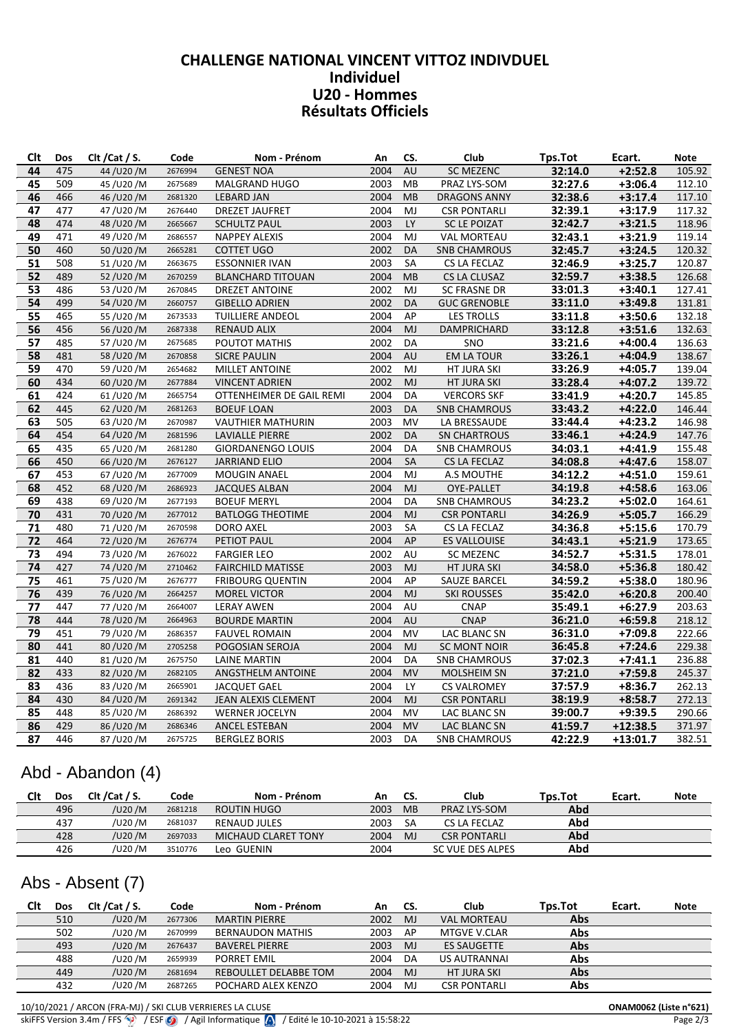### CONCELINGL INATIONAL VINCENT VITTOZ INDIVIDULE Individuel U20 - Hommes<br>Résultats Officiels

| Clt      | Dos        | Clt / Cat / S.       | Code               | Nom - Prénom                                 | An           | CS.       | Club                       | Tps.Tot            | Ecart.                 | <b>Note</b>      |
|----------|------------|----------------------|--------------------|----------------------------------------------|--------------|-----------|----------------------------|--------------------|------------------------|------------------|
| 44       | 475        | 44/U20/M             | 2676994            | <b>GENEST NOA</b>                            | 2004         | AU        | <b>SC MEZENC</b>           | 32:14.0            | $+2:52.8$              | 105.92           |
| 45       | 509        | 45/U20/M             | 2675689            | <b>MALGRAND HUGO</b>                         | 2003         | MВ        | PRAZ LYS-SOM               | 32:27.6            | $+3:06.4$              | 112.10           |
| 46       | 466        | 46/U20/M             | 2681320            | <b>LEBARD JAN</b>                            | 2004         | <b>MB</b> | <b>DRAGONS ANNY</b>        | 32:38.6            | $+3:17.4$              | 117.10           |
| 47       | 477        | 47/U20/M             | 2676440            | <b>DREZET JAUFRET</b>                        | 2004         | MJ        | <b>CSR PONTARLI</b>        | 32:39.1            | $+3:17.9$              | 117.32           |
| 48       | 474        | 48/U20/M             | 2665667            | <b>SCHULTZ PAUL</b>                          | 2003         | LY        | <b>SC LE POIZAT</b>        | 32:42.7            | $+3:21.5$              | 118.96           |
| 49       | 471        | 49/U20/M             | 2686557            | <b>NAPPEY ALEXIS</b>                         | 2004         | MJ        | <b>VAL MORTEAU</b>         | 32:43.1            | $+3:21.9$              | 119.14           |
| 50       | 460        | 50/U20/M             | 2665281            | <b>COTTET UGO</b>                            | 2002         | DA        | <b>SNB CHAMROUS</b>        | 32:45.7            | $+3:24.5$              | 120.32           |
| 51       | 508        | 51/U20/M             | 2663675            | <b>ESSONNIER IVAN</b>                        | 2003         | SA        | CS LA FECLAZ               | 32:46.9            | $+3:25.7$              | 120.87           |
| 52       | 489        | 52/U20/M             | 2670259            | <b>BLANCHARD TITOUAN</b>                     | 2004         | <b>MB</b> | CS LA CLUSAZ               | 32:59.7            | $+3:38.5$              | 126.68           |
| 53       | 486        | 53/U20/M             | 2670845            | <b>DREZET ANTOINE</b>                        | 2002         | MJ        | <b>SC FRASNE DR</b>        | 33:01.3            | $+3:40.1$              | 127.41           |
| 54       | 499        | 54/U20/M             | 2660757            | <b>GIBELLO ADRIEN</b>                        | 2002         | DA        | <b>GUC GRENOBLE</b>        | 33:11.0            | $+3:49.8$              | 131.81           |
| 55       | 465        | 55/U20/M             | 2673533            | <b>TUILLIERE ANDEOL</b>                      | 2004         | AP        | <b>LES TROLLS</b>          | 33:11.8            | $+3:50.6$              | 132.18           |
| 56       | 456        | 56/U20/M             | 2687338            | <b>RENAUD ALIX</b>                           | 2004         | MJ        | <b>DAMPRICHARD</b>         | 33:12.8            | $+3:51.6$              | 132.63           |
| 57       | 485        | 57/U20/M             | 2675685            | POUTOT MATHIS                                | 2002         | DA        | SNO                        | 33:21.6            | $+4:00.4$              | 136.63           |
| 58       | 481        | 58/U20/M             | 2670858            | <b>SICRE PAULIN</b>                          | 2004         | AU        | <b>EM LA TOUR</b>          | 33:26.1            | $+4:04.9$              | 138.67           |
| 59       | 470        | 59/U20/M             | 2654682            | <b>MILLET ANTOINE</b>                        | 2002         | MJ        | HT JURA SKI                | 33:26.9            | $+4:05.7$              | 139.04           |
| 60       | 434        | 60/U20/M             | 2677884            | <b>VINCENT ADRIEN</b>                        | 2002         | MJ        | HT JURA SKI                | 33:28.4            | $+4:07.2$              | 139.72           |
| 61       | 424        | 61/U20/M             | 2665754            | OTTENHEIMER DE GAIL REMI                     | 2004         | DA        | <b>VERCORS SKF</b>         | 33:41.9            | $+4:20.7$              | 145.85           |
| 62       | 445        | 62/U20/M             | 2681263            | <b>BOEUF LOAN</b>                            | 2003         | DA        | <b>SNB CHAMROUS</b>        | 33:43.2            | $+4:22.0$              | 146.44           |
| 63       | 505        | 63/U20/M             | 2670987            | <b>VAUTHIER MATHURIN</b>                     | 2003         | MV        | LA BRESSAUDE               | 33:44.4            | +4:23.2                | 146.98           |
| 64       | 454        | 64/U20/M             | 2681596            | <b>LAVIALLE PIERRE</b>                       | 2002         | DA        | <b>SN CHARTROUS</b>        | 33:46.1            | $+4:24.9$              | 147.76           |
| 65       | 435        | 65/U20/M             | 2681280            | <b>GIORDANENGO LOUIS</b>                     | 2004         | DA        | <b>SNB CHAMROUS</b>        | 34:03.1            | +4:41.9                | 155.48           |
| 66       | 450        | 66/U20/M             | 2676127            | <b>JARRIAND ELIO</b>                         | 2004         | SA        | CS LA FECLAZ               | 34:08.8            | $+4:47.6$              | 158.07           |
| 67       | 453        | 67/U20/M             | 2677009            | <b>MOUGIN ANAEL</b>                          | 2004         | MJ        | A.S MOUTHE                 | 34:12.2            | $+4:51.0$              | 159.61           |
| 68       | 452        | 68/U20/M             | 2686923            | <b>JACQUES ALBAN</b>                         | 2004         | MJ        | OYE-PALLET                 | 34:19.8            | $+4:58.6$              | 163.06           |
| 69       | 438        | 69/U20/M             | 2677193            | <b>BOEUF MERYL</b>                           | 2004         | DA        | <b>SNB CHAMROUS</b>        | 34:23.2            | $+5:02.0$              | 164.61           |
| 70       | 431        | 70/U20/M             | 2677012            | <b>BATLOGG THEOTIME</b>                      | 2004         | MJ        | <b>CSR PONTARLI</b>        | 34:26.9            | $+5:05.7$              | 166.29           |
| 71       | 480        | 71/U20/M             | 2670598            | <b>DORO AXEL</b>                             | 2003         | <b>SA</b> | CS LA FECLAZ               | 34:36.8            | $+5:15.6$              | 170.79           |
| 72       | 464        | 72/U20/M             | 2676774            | PETIOT PAUL                                  | 2004         | AP        | <b>ES VALLOUISE</b>        | 34:43.1            | $+5:21.9$              | 173.65           |
| 73       | 494        | 73/U20/M             | 2676022            | <b>FARGIER LEO</b>                           | 2002         | AU        | SC MEZENC                  | 34:52.7            | $+5:31.5$              | 178.01           |
| 74       | 427        | 74/U20/M             | 2710462            | <b>FAIRCHILD MATISSE</b>                     | 2003         | <b>MJ</b> | HT JURA SKI                | 34:58.0            | $+5:36.8$              | 180.42           |
| 75       | 461        | 75/U20/M             | 2676777            | <b>FRIBOURG QUENTIN</b>                      | 2004         | AP        | <b>SAUZE BARCEL</b>        | 34:59.2            | $+5:38.0$              | 180.96           |
| 76<br>77 | 439<br>447 | 76/U20/M             | 2664257            | <b>MOREL VICTOR</b>                          | 2004<br>2004 | MJ        | <b>SKI ROUSSES</b>         | 35:42.0            | $+6:20.8$              | 200.40           |
| 78       | 444        | 77/U20/M<br>78/U20/M | 2664007<br>2664963 | <b>LERAY AWEN</b>                            | 2004         | AU<br>AU  | <b>CNAP</b><br><b>CNAP</b> | 35:49.1<br>36:21.0 | $+6:27.9$<br>$+6:59.8$ | 203.63<br>218.12 |
| 79       | 451        | 79/U20/M             | 2686357            | <b>BOURDE MARTIN</b><br><b>FAUVEL ROMAIN</b> | 2004         | MV        | LAC BLANC SN               | 36:31.0            | $+7:09.8$              | 222.66           |
| 80       | 441        | 80/U20/M             | 2705258            | POGOSIAN SEROJA                              | 2004         | MJ        | <b>SC MONT NOIR</b>        | 36:45.8            | $+7:24.6$              | 229.38           |
| 81       | 440        | 81/U20/M             | 2675750            | <b>LAINE MARTIN</b>                          | 2004         | DA        | <b>SNB CHAMROUS</b>        | 37:02.3            | $+7:41.1$              | 236.88           |
| 82       | 433        | 82/U20/M             | 2682105            | ANGSTHELM ANTOINE                            | 2004         | <b>MV</b> | <b>MOLSHEIM SN</b>         | 37:21.0            | $+7:59.8$              | 245.37           |
| 83       | 436        | 83/U20/M             | 2665901            | <b>JACQUET GAEL</b>                          | 2004         | LY.       | <b>CS VALROMEY</b>         | 37:57.9            | $+8:36.7$              | 262.13           |
| 84       | 430        | 84/U20/M             | 2691342            | JEAN ALEXIS CLEMENT                          | 2004         | MJ        | <b>CSR PONTARLI</b>        | 38:19.9            | $+8:58.7$              | 272.13           |
| 85       | 448        | 85/U20/M             | 2686392            | <b>WERNER JOCELYN</b>                        | 2004         | MV        | LAC BLANC SN               | 39:00.7            | $+9:39.5$              | 290.66           |
| 86       | 429        | 86/U20/M             | 2686346            | ANCEL ESTEBAN                                | 2004         | <b>MV</b> | LAC BLANC SN               | 41:59.7            | $+12:38.5$             | 371.97           |
| 87       | 446        | 87/U20/M             | 2675725            | <b>BERGLEZ BORIS</b>                         | 2003         | DA        | <b>SNB CHAMROUS</b>        | 42:22.9            | $+13:01.7$             | 382.51           |
|          |            |                      |                    |                                              |              |           |                            |                    |                        |                  |

## Abd - Abandon (4)

| Clt | Dos | CIt / Cat / S. | Code    | Nom - Prénom        | An   | CS.            | Club                | Tps.Tot | Ecart. | <b>Note</b> |
|-----|-----|----------------|---------|---------------------|------|----------------|---------------------|---------|--------|-------------|
|     | 496 | /U20 /M        | 2681218 | ROUTIN HUGO         | 2003 | <b>MB</b>      | <b>PRAZ LYS-SOM</b> | Abd     |        |             |
|     | 437 | /U20 /M        | 2681037 | RENAUD JULES        | 2003 | SΑ             | CS LA FECLAZ        | Abd     |        |             |
|     | 428 | /U20 /M        | 2697033 | MICHAUD CLARET TONY | 2004 | M <sub>J</sub> | <b>CSR PONTARLI</b> | Abd     |        |             |
|     | 426 | /U20 /M        | 3510776 | Leo GUENIN          | 2004 |                | SC VUE DES ALPES    | Abd     |        |             |

# Abs - Absent (7)

| Clt | Dos | Clt / Cat / S. | Code    | Nom - Prénom            | Αn   | CS.            | Club                | Tps.Tot | Ecart. | <b>Note</b> |
|-----|-----|----------------|---------|-------------------------|------|----------------|---------------------|---------|--------|-------------|
|     | 510 | /U20 /M        | 2677306 | <b>MARTIN PIERRE</b>    | 2002 | M.             | <b>VAL MORTEAU</b>  | Abs     |        |             |
|     | 502 | /U20 /M        | 2670999 | <b>BERNAUDON MATHIS</b> | 2003 | AP             | MTGVE V.CLAR        | Abs     |        |             |
|     | 493 | /U20 /M        | 2676437 | <b>BAVEREL PIERRE</b>   | 2003 | M <sub>J</sub> | <b>ES SAUGETTE</b>  | Abs     |        |             |
|     | 488 | /U20 /M        | 2659939 | <b>PORRET EMIL</b>      | 2004 | DA             | <b>US AUTRANNAI</b> | Abs     |        |             |
|     | 449 | /U20 /M        | 2681694 | REBOULLET DELABBE TOM   | 2004 | M <sub>J</sub> | <b>HT JURA SKI</b>  | Abs     |        |             |
|     | 432 | /U20 /M        | 2687265 | POCHARD ALEX KENZO      | 2004 | MJ             | <b>CSR PONTARLI</b> | Abs     |        |             |